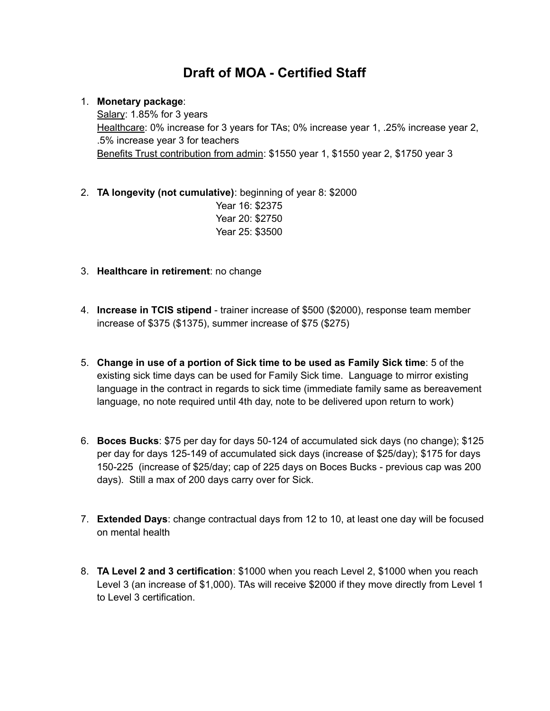## **Draft of MOA - Certified Staff**

## 1. **Monetary package**:

Salary: 1.85% for 3 years Healthcare: 0% increase for 3 years for TAs; 0% increase year 1, .25% increase year 2, .5% increase year 3 for teachers Benefits Trust contribution from admin: \$1550 year 1, \$1550 year 2, \$1750 year 3

- 2. **TA longevity (not cumulative)**: beginning of year 8: \$2000 Year 16: \$2375 Year 20: \$2750 Year 25: \$3500
- 3. **Healthcare in retirement**: no change
- 4. **Increase in TCIS stipend** trainer increase of \$500 (\$2000), response team member increase of \$375 (\$1375), summer increase of \$75 (\$275)
- 5. **Change in use of a portion of Sick time to be used as Family Sick time**: 5 of the existing sick time days can be used for Family Sick time. Language to mirror existing language in the contract in regards to sick time (immediate family same as bereavement language, no note required until 4th day, note to be delivered upon return to work)
- 6. **Boces Bucks**: \$75 per day for days 50-124 of accumulated sick days (no change); \$125 per day for days 125-149 of accumulated sick days (increase of \$25/day); \$175 for days 150-225 (increase of \$25/day; cap of 225 days on Boces Bucks - previous cap was 200 days). Still a max of 200 days carry over for Sick.
- 7. **Extended Days**: change contractual days from 12 to 10, at least one day will be focused on mental health
- 8. **TA Level 2 and 3 certification**: \$1000 when you reach Level 2, \$1000 when you reach Level 3 (an increase of \$1,000). TAs will receive \$2000 if they move directly from Level 1 to Level 3 certification.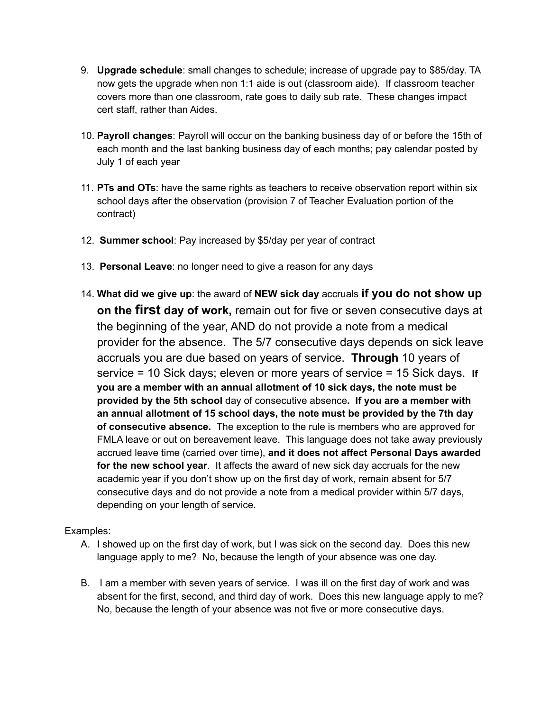- 9. **Upgrade schedule**: small changes to schedule; increase of upgrade pay to \$85/day. TA now gets the upgrade when non 1:1 aide is out (classroom aide). If classroom teacher covers more than one classroom, rate goes to daily sub rate. These changes impact cert staff, rather than Aides.
- 10. **Payroll changes**: Payroll will occur on the banking business day of or before the 15th of each month and the last banking business day of each months; pay calendar posted by July 1 of each year
- 11. **PTs and OTs**: have the same rights as teachers to receive observation report within six school days after the observation (provision 7 of Teacher Evaluation portion of the contract)
- 12. **Summer school**: Pay increased by \$5/day per year of contract
- 13. **Personal Leave**: no longer need to give a reason for any days
- 14. **What did we give up**: the award of **NEW sick day** accruals **if you do not show up on the first day of work,** remain out for five or seven consecutive days at the beginning of the year, AND do not provide a note from a medical provider for the absence. The 5/7 consecutive days depends on sick leave accruals you are due based on years of service. **Through** 10 years of service = 10 Sick days; eleven or more years of service = 15 Sick days. **If you are a member with an annual allotment of 10 sick days, the note must be provided by the 5th school** day of consecutive absence**. If you are a member with an annual allotment of 15 school days, the note must be provided by the 7th day of consecutive absence.** The exception to the rule is members who are approved for FMLA leave or out on bereavement leave. This language does not take away previously accrued leave time (carried over time), **and it does not affect Personal Days awarded for the new school year**. It affects the award of new sick day accruals for the new academic year if you don't show up on the first day of work, remain absent for 5/7 consecutive days and do not provide a note from a medical provider within 5/7 days, depending on your length of service.

Examples:

- A. I showed up on the first day of work, but I was sick on the second day. Does this new language apply to me? No, because the length of your absence was one day.
- B. I am a member with seven years of service. I was ill on the first day of work and was absent for the first, second, and third day of work. Does this new language apply to me? No, because the length of your absence was not five or more consecutive days.